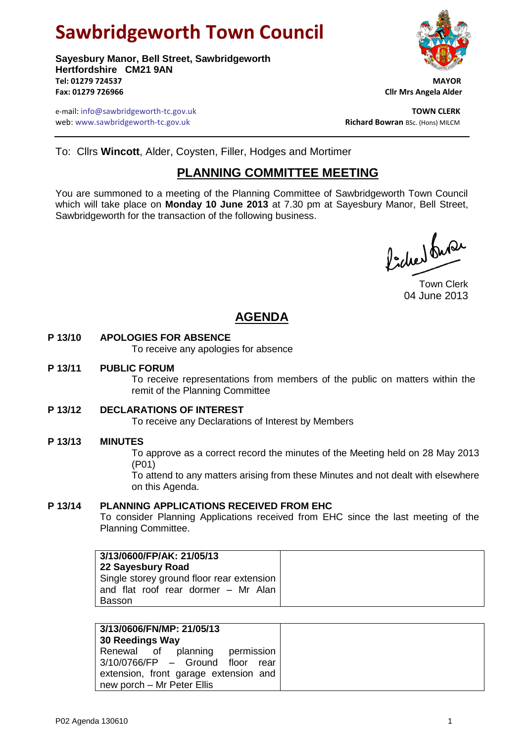# **Sawbridgeworth Town Council**

**Sayesbury Manor, Bell Street, Sawbridgeworth Hertfordshire CM21 9AN Tel: 01279 724537 MAYOR Fax: 01279 726966 Cllr Mrs Angela Alder**

e-mail: info@sawbridgeworth-tc.gov.uk<br>**Web:** www.sawbridgeworth-tc.gov.uk **TOWN CLERK**<br>**Richard Bowran** BSc. (Hons) MILCM web: www.sawbridgeworth-tc.gov.uk



To: Cllrs **Wincott**, Alder, Coysten, Filler, Hodges and Mortimer

# **PLANNING COMMITTEE MEETING**

You are summoned to a meeting of the Planning Committee of Sawbridgeworth Town Council which will take place on **Monday 10 June 2013** at 7.30 pm at Sayesbury Manor, Bell Street, Sawbridgeworth for the transaction of the following business.

Picked fune

Town Clerk 04 June 2013

# **AGENDA**

# **P 13/10 APOLOGIES FOR ABSENCE**

To receive any apologies for absence

#### **P 13/11 PUBLIC FORUM**

To receive representations from members of the public on matters within the remit of the Planning Committee

# **P 13/12 DECLARATIONS OF INTEREST**

To receive any Declarations of Interest by Members

# **P 13/13 MINUTES**

To approve as a correct record the minutes of the Meeting held on 28 May 2013 (P01)

To attend to any matters arising from these Minutes and not dealt with elsewhere on this Agenda.

# **P 13/14 PLANNING APPLICATIONS RECEIVED FROM EHC**

To consider Planning Applications received from EHC since the last meeting of the Planning Committee.

| 3/13/0600/FP/AK: 21/05/13<br>22 Sayesbury Road                                             |
|--------------------------------------------------------------------------------------------|
| Single storey ground floor rear extension<br>and flat roof rear dormer - Mr Alan<br>Basson |

| 3/13/0606/FN/MP: 21/05/13<br>30 Reedings Way                             |
|--------------------------------------------------------------------------|
| Renewal of planning<br>permission<br>3/10/0766/FP - Ground floor<br>rear |
| extension, front garage extension and<br>new porch - Mr Peter Ellis      |